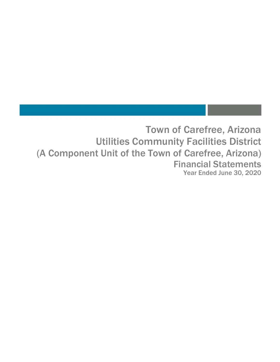# Town of Carefree, Arizona Utilities Community Facilities District (A Component Unit of the Town of Carefree, Arizona) Financial Statements Year Ended June 30, 2020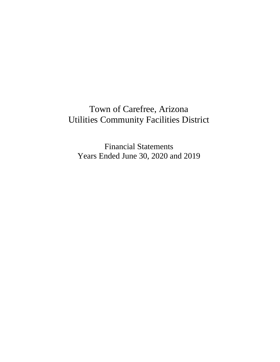# Town of Carefree, Arizona Utilities Community Facilities District

Financial Statements Years Ended June 30, 2020 and 2019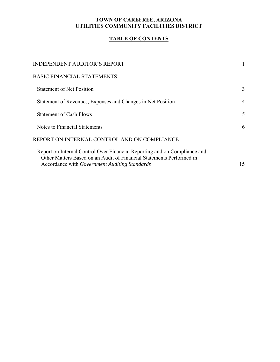# **TOWN OF CAREFREE, ARIZONA UTILITIES COMMUNITY FACILITIES DISTRICT**

# **TABLE OF CONTENTS**

| <b>BASIC FINANCIAL STATEMENTS:</b><br><b>Statement of Net Position</b><br>Statement of Revenues, Expenses and Changes in Net Position<br><b>Statement of Cash Flows</b><br>Notes to Financial Statements<br>REPORT ON INTERNAL CONTROL AND ON COMPLIANCE<br>Report on Internal Control Over Financial Reporting and on Compliance and<br>Other Matters Based on an Audit of Financial Statements Performed in<br>Accordance with Government Auditing Standards | <b>INDEPENDENT AUDITOR'S REPORT</b> |    |
|----------------------------------------------------------------------------------------------------------------------------------------------------------------------------------------------------------------------------------------------------------------------------------------------------------------------------------------------------------------------------------------------------------------------------------------------------------------|-------------------------------------|----|
|                                                                                                                                                                                                                                                                                                                                                                                                                                                                |                                     |    |
|                                                                                                                                                                                                                                                                                                                                                                                                                                                                |                                     | 3  |
|                                                                                                                                                                                                                                                                                                                                                                                                                                                                |                                     | 4  |
|                                                                                                                                                                                                                                                                                                                                                                                                                                                                |                                     | 5  |
|                                                                                                                                                                                                                                                                                                                                                                                                                                                                |                                     | 6  |
|                                                                                                                                                                                                                                                                                                                                                                                                                                                                |                                     |    |
|                                                                                                                                                                                                                                                                                                                                                                                                                                                                |                                     | 15 |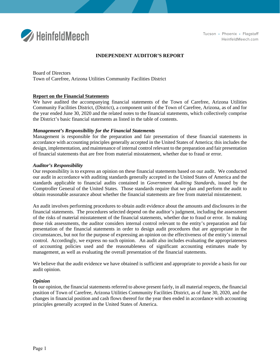



# **INDEPENDENT AUDITOR'S REPORT**

Board of Directors Town of Carefree, Arizona Utilities Community Facilities District

#### **Report on the Financial Statements**

We have audited the accompanying financial statements of the Town of Carefree, Arizona Utilities Community Facilities District, (District), a component unit of the Town of Carefree, Arizona, as of and for the year ended June 30, 2020 and the related notes to the financial statements, which collectively comprise the District's basic financial statements as listed in the table of contents.

#### *Management's Responsibility for the Financial Statements*

Management is responsible for the preparation and fair presentation of these financial statements in accordance with accounting principles generally accepted in the United States of America; this includes the design, implementation, and maintenance of internal control relevant to the preparation and fair presentation of financial statements that are free from material misstatement, whether due to fraud or error.

#### *Auditor's Responsibility*

Our responsibility is to express an opinion on these financial statements based on our audit. We conducted our audit in accordance with auditing standards generally accepted in the United States of America and the standards applicable to financial audits contained in *Government Auditing Standards,* issued by the Comptroller General of the United States. Those standards require that we plan and perform the audit to obtain reasonable assurance about whether the financial statements are free from material misstatement.

An audit involves performing procedures to obtain audit evidence about the amounts and disclosures in the financial statements. The procedures selected depend on the auditor's judgment, including the assessment of the risks of material misstatement of the financial statements, whether due to fraud or error. In making those risk assessments, the auditor considers internal control relevant to the entity's preparation and fair presentation of the financial statements in order to design audit procedures that are appropriate in the circumstances, but not for the purpose of expressing an opinion on the effectiveness of the entity's internal control. Accordingly, we express no such opinion. An audit also includes evaluating the appropriateness of accounting policies used and the reasonableness of significant accounting estimates made by management, as well as evaluating the overall presentation of the financial statements.

We believe that the audit evidence we have obtained is sufficient and appropriate to provide a basis for our audit opinion.

#### *Opinion*

In our opinion, the financial statements referred to above present fairly, in all material respects, the financial position of Town of Carefree, Arizona Utilities Community Facilities District, as of June 30, 2020, and the changes in financial position and cash flows thereof for the year then ended in accordance with accounting principles generally accepted in the United States of America.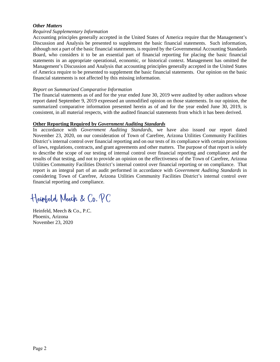#### *Other Matters*

#### *Required Supplementary Information*

Accounting principles generally accepted in the United States of America require that the Management's Discussion and Analysis be presented to supplement the basic financial statements. Such information, although not a part of the basic financial statements, is required by the Governmental Accounting Standards Board, who considers it to be an essential part of financial reporting for placing the basic financial statements in an appropriate operational, economic, or historical context. Management has omitted the Management's Discussion and Analysis that accounting principles generally accepted in the United States of America require to be presented to supplement the basic financial statements. Our opinion on the basic financial statements is not affected by this missing information.

#### *Report on Summarized Comparative Information*

The financial statements as of and for the year ended June 30, 2019 were audited by other auditors whose report dated September 9, 2019 expressed an unmodified opinion on those statements. In our opinion, the summarized comparative information presented herein as of and for the year ended June 30, 2019, is consistent, in all material respects, with the audited financial statements from which it has been derived.

#### **Other Reporting Required by** *Government Auditing Standards*

In accordance with *Government Auditing Standards*, we have also issued our report dated November 23, 2020, on our consideration of Town of Carefree, Arizona Utilities Community Facilities District's internal control over financial reporting and on our tests of its compliance with certain provisions of laws, regulations, contracts, and grant agreements and other matters. The purpose of that report is solely to describe the scope of our testing of internal control over financial reporting and compliance and the results of that testing, and not to provide an opinion on the effectiveness of the Town of Carefree, Arizona Utilities Community Facilities District's internal control over financial reporting or on compliance. That report is an integral part of an audit performed in accordance with *Government Auditing Standards* in considering Town of Carefree, Arizona Utilities Community Facilities District's internal control over financial reporting and compliance.

Heinfield Meech & Co. PC

Heinfeld, Meech & Co., P.C. Phoenix, Arizona November 23, 2020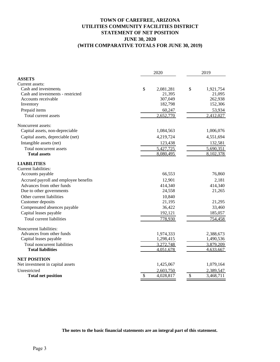# **TOWN OF CAREFREE, ARIZONA UTILITIES COMMUNITY FACILITIES DISTRICT STATEMENT OF NET POSITION JUNE 30, 2020 (WITH COMPARATIVE TOTALS FOR JUNE 30, 2019)**

|                                       | 2020            | 2019            |  |  |
|---------------------------------------|-----------------|-----------------|--|--|
| <b>ASSETS</b>                         |                 |                 |  |  |
| Current assets:                       |                 |                 |  |  |
| Cash and investments                  | \$<br>2,081,281 | \$<br>1,921,754 |  |  |
| Cash and investments - restricted     | 21,395          | 21,095          |  |  |
| Accounts receivable                   | 307,049         | 262,938         |  |  |
| Inventory                             | 182,798         | 152,306         |  |  |
| Prepaid items                         | 60,247          | 53,934          |  |  |
| Total current assets                  | 2,652,770       | 2,412,027       |  |  |
| Noncurrent assets:                    |                 |                 |  |  |
| Capital assets, non-depreciable       | 1,084,563       | 1,006,076       |  |  |
| Capital assets, depreciable (net)     | 4,219,724       | 4,551,694       |  |  |
| Intangible assets (net)               | 123,438         | 132,581         |  |  |
| Total noncurrent assets               | 5,427,725       | 5,690,351       |  |  |
| <b>Total assets</b>                   | 8,080,495       | 8,102,378       |  |  |
| <b>LIABILITIES</b>                    |                 |                 |  |  |
| Current liabilities:                  |                 |                 |  |  |
| Accounts payable                      | 66,553          | 76,860          |  |  |
| Accrued payroll and employee benefits | 12,901          | 2,181           |  |  |
| Advances from other funds             | 414,340         | 414,340         |  |  |
| Due to other governments              | 24,558          | 21,265          |  |  |
| Other current liabilities             | 10,840          |                 |  |  |
| Customer deposits                     | 21,195          | 21,295          |  |  |
| Compensated absences payable          | 36,422          | 33,460          |  |  |
| Capital leases payable                | 192,121         | 185,057         |  |  |
| Total current liabilities             | 778,930         | <u>754,458</u>  |  |  |
| Noncurrent liabilities:               |                 |                 |  |  |
| Advances from other funds             | 1,974,333       | 2,388,673       |  |  |
| Capital leases payable                | 1,298,415       | 1,490,536       |  |  |
| Total noncurrent liabilities          | 3,272,748       | 3,879,209       |  |  |
| <b>Total liabilities</b>              | 4,051,678       | 4,633,667       |  |  |
| <b>NET POSITION</b>                   |                 |                 |  |  |
| Net investment in capital assets      | 1,425,067       | 1,079,164       |  |  |
| Unrestricted                          | 2,603,750       | 2,389,547       |  |  |
| <b>Total net position</b>             | \$<br>4,028,817 | \$<br>3,468,711 |  |  |

**The notes to the basic financial statements are an integral part of this statement.**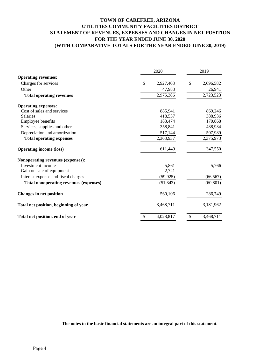# **TOWN OF CAREFREE, ARIZONA UTILITIES COMMUNITY FACILITIES DISTRICT STATEMENT OF REVENUES, EXPENSES AND CHANGES IN NET POSITION FOR THE YEAR ENDED JUNE 30, 2020 (WITH COMPARATIVE TOTALS FOR THE YEAR ENDED JUNE 30, 2019)**

|                                        | 2020            | 2019            |
|----------------------------------------|-----------------|-----------------|
| <b>Operating revenues:</b>             |                 |                 |
| Charges for services                   | \$<br>2,927,403 | \$<br>2,696,582 |
| Other                                  | 47,983          | 26,941          |
| <b>Total operating revenues</b>        | 2,975,386       | 2,723,523       |
| <b>Operating expenses:</b>             |                 |                 |
| Cost of sales and services             | 885,941         | 869,246         |
| <b>Salaries</b>                        | 418,537         | 388,936         |
| Employee benefits                      | 183,474         | 170,868         |
| Services, supplies and other           | 358,841         | 438,934         |
| Depreciation and amortization          | 517,144         | 507,989         |
| <b>Total operating expenses</b>        | 2,363,937       | 2,375,973       |
| <b>Operating income (loss)</b>         | 611,449         | 347,550         |
| Nonoperating revenues (expenses):      |                 |                 |
| Investment income                      | 5,861           | 5,766           |
| Gain on sale of equipment              | 2,721           |                 |
| Interest expense and fiscal charges    | (59, 925)       | (66, 567)       |
| Total nonoperating revenues (expenses) | (51, 343)       | (60, 801)       |
| <b>Changes in net position</b>         | 560,106         | 286,749         |
| Total net position, beginning of year  | 3,468,711       | 3,181,962       |
| Total net position, end of year        | 4,028,817<br>\$ | \$<br>3,468,711 |

**The notes to the basic financial statements are an integral part of this statement.**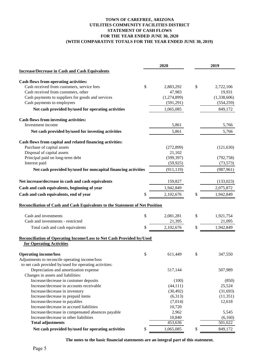#### **TOWN OF CAREFREE, ARIZONA UTILITIES COMMUNITY FACILITIES DISTRICT STATEMENT OF CASH FLOWS FOR THE YEAR ENDED JUNE 30, 2020 (WITH COMPARATIVE TOTALS FOR THE YEAR ENDED JUNE 30, 2019)**

|                                                                                    | 2020                 |    | 2019                 |
|------------------------------------------------------------------------------------|----------------------|----|----------------------|
| <b>Increase/Decrease in Cash and Cash Equivalents</b>                              |                      |    |                      |
| Cash flows from operating activities:                                              |                      |    |                      |
| Cash received from customers, service fees                                         | \$<br>2,883,292      | \$ | 2,722,106            |
| Cash received from customers, other                                                | 47,983               |    | 19,931               |
| Cash payments to suppliers for goods and services                                  | (1,274,899)          |    | (1,338,606)          |
| Cash payments to employees                                                         | (591,291)            |    | (554, 259)           |
| Net cash provided by/used for operating activities                                 | 1,065,085            |    | 849,172              |
| <b>Cash flows from investing activities:</b>                                       |                      |    |                      |
| Investment income                                                                  | 5,861                |    | 5,766                |
| Net cash provided by/used for investing activities                                 | 5,861                |    | 5,766                |
| Cash flows from capital and related financing activities:                          |                      |    |                      |
| Purchase of capital assets                                                         | (272, 899)           |    | (121, 630)           |
| Disposal of capital assets                                                         | 21,102               |    |                      |
| Principal paid on long-term debt                                                   | (599, 397)           |    | (792, 758)           |
| Interest paid                                                                      | (59, 925)            |    | (73, 573)            |
| Net cash provided by/used for noncapital financing activities                      | (911, 119)           |    | (987, 961)           |
| Net increase/decrease in cash and cash equivalents                                 | 159,827              |    | (133, 023)           |
| Cash and cash equivalents, beginning of year                                       | 1,942,849            |    | 2,075,872            |
| Cash and cash equivalents, end of year                                             | 2,102,676            | S  | 1,942,849            |
|                                                                                    |                      |    |                      |
| Reconciliation of Cash and Cash Equivalents to the Statement of Net Position       |                      |    |                      |
| Cash and investments                                                               | \$<br>2,081,281      | \$ | 1,921,754            |
| Cash and investments - restricted                                                  | 21,395               |    | 21,095               |
| Total cash and cash equivalents                                                    | \$<br>2,102,676      | \$ | 1,942,849            |
| <b>Reconciliation of Operating Income/Loss to Net Cash Provided by/Used</b>        |                      |    |                      |
| for Operating Activities                                                           |                      |    |                      |
| <b>Operating income/loss</b>                                                       | \$<br>611,449        | \$ | 347,550              |
| Adjustments to reconcile operating income/loss                                     |                      |    |                      |
| to net cash provided by/used for operating activities:                             |                      |    |                      |
| Depreciation and amortization expense                                              | 517,144              |    | 507,989              |
| Changes in assets and liabilities:                                                 |                      |    |                      |
| Increase/decrease in customer deposits<br>Increase/decrease in accounts receivable | (100)                |    | (850)                |
|                                                                                    | (44, 111)            |    | 25,524               |
| Increase/decrease in inventory<br>Increase/decrease in prepaid items               | (30, 492)<br>(6,313) |    | (31,693)<br>(11,351) |
| Increase/decrease in payables                                                      | (7,014)              |    | 12,618               |
| Increase/decrease in accrued liabilities                                           | 10,720               |    |                      |
| Increase/decrease in compensated absences payable                                  | 2,962                |    | 5,545                |
| Increase/decrease in other liabilities                                             | 10,840               |    | (6,160)              |
| <b>Total adjustments</b>                                                           | 453,636              |    | 501,622              |
|                                                                                    |                      |    |                      |
| Net cash provided by/used for operating activities                                 | \$<br>1,065,085      | \$ | 849,172              |

**The notes to the basic financial statements are an integral part of this statement.**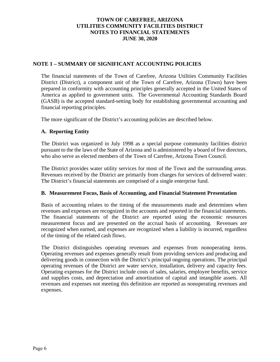# **NOTE 1 – SUMMARY OF SIGNIFICANT ACCOUNTING POLICIES**

The financial statements of the Town of Carefree, Arizona Utilities Community Facilities District (District), a component unit of the Town of Carefree, Arizona (Town) have been prepared in conformity with accounting principles generally accepted in the United States of America as applied to government units. The Governmental Accounting Standards Board (GASB) is the accepted standard-setting body for establishing governmental accounting and financial reporting principles.

The more significant of the District's accounting policies are described below.

# **A. Reporting Entity**

The District was organized in July 1998 as a special purpose community facilities district pursuant to the the laws of the State of Arizona and is administered by a board of five directors, who also serve as elected members of the Town of Carefree, Arizona Town Council.

The District provides water utility services for most of the Town and the surrounding areas. Revenues received by the District are primarily from charges for services of delivered water. The District's financial statements are comprised of a single enterprise fund.

# **B. Measurement Focus, Basis of Accounting, and Financial Statement Presentation**

Basis of accounting relates to the timing of the measurements made and determines when revenues and expenses are recognized in the accounts and reported in the financial statements. The financial statements of the District are reported using the economic resources measurement focus and are presented on the accrual basis of accounting. Revenues are recognized when earned, and expenses are recognized when a liability is incurred, regardless of the timing of the related cash flows.

The District distinguishes operating revenues and expenses from nonoperating items. Operating revenues and expenses generally result from providing services and producing and delivering goods in connection with the District's principal ongoing operations. The principal operating revenues of the District are water service, installation, delivery and capacity fees. Operating expenses for the District include costs of sales, salaries, employee benefits, service and supplies costs, and depreciation and amortization of capital and intangible assets. All revenues and expenses not meeting this definition are reported as nonoperating revenues and expenses.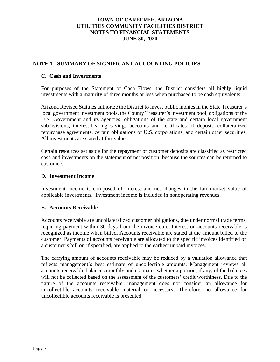# **NOTE 1 - SUMMARY OF SIGNIFICANT ACCOUNTING POLICIES**

# **C. Cash and Investments**

For purposes of the Statement of Cash Flows, the District considers all highly liquid investments with a maturity of three months or less when purchased to be cash equivalents.

Arizona Revised Statutes authorize the District to invest public monies in the State Treasurer's local government investment pools, the County Treasurer's investment pool, obligations of the U.S. Government and its agencies, obligations of the state and certain local government subdivisions, interest-bearing savings accounts and certificates of deposit, collateralized repurchase agreements, certain obligations of U.S. corporations, and certain other securities. All investments are stated at fair value.

Certain resources set aside for the repayment of customer deposits are classified as restricted cash and investments on the statement of net position, because the sources can be returned to customers.

# **D. Investment Income**

Investment income is composed of interest and net changes in the fair market value of applicable investments. Investment income is included in nonoperating revenues.

# **E. Accounts Receivable**

Accounts receivable are uncollateralized customer obligations, due under normal trade terms, requiring payment within 30 days from the invoice date. Interest on accounts receivable is recognized as income when billed. Accounts receivable are stated at the amount billed to the customer. Payments of accounts receivable are allocated to the specific invoices identified on a customer's bill or, if specified, are applied to the earliest unpaid invoices.

The carrying amount of accounts receivable may be reduced by a valuation allowance that reflects management's best estimate of uncollectible amounts. Management reviews all accounts receivable balances monthly and estimates whether a portion, if any, of the balances will not be collected based on the assessment of the customers' credit worthiness. Due to the nature of the accounts receivable, management does not consider an allowance for uncollectible accounts receivable material or necessary. Therefore, no allowance for uncollectible accounts receivable is presented.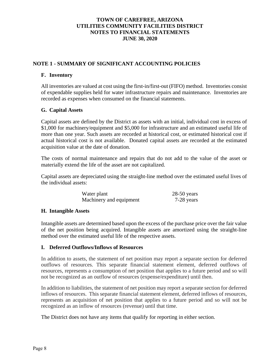# **NOTE 1 - SUMMARY OF SIGNIFICANT ACCOUNTING POLICIES**

# **F. Inventory**

All inventories are valued at cost using the first-in/first-out (FIFO) method. Inventories consist of expendable supplies held for water infrastructure repairs and maintenance. Inventories are recorded as expenses when consumed on the financial statements.

# **G. Capital Assets**

Capital assets are defined by the District as assets with an initial, individual cost in excess of \$1,000 for machinery/equipment and \$5,000 for infrastructure and an estimated useful life of more than one year. Such assets are recorded at historical cost, or estimated historical cost if actual historical cost is not available. Donated capital assets are recorded at the estimated acquisition value at the date of donation.

The costs of normal maintenance and repairs that do not add to the value of the asset or materially extend the life of the asset are not capitalized.

Capital assets are depreciated using the straight-line method over the estimated useful lives of the individual assets:

| Water plant             | $28-50$ years |
|-------------------------|---------------|
| Machinery and equipment | 7-28 years    |

# **H. Intangible Assets**

Intangible assets are determined based upon the excess of the purchase price over the fair value of the net position being acquired. Intangible assets are amortized using the straight-line method over the estimated useful life of the respective assets.

# **I. Deferred Outflows/Inflows of Resources**

In addition to assets, the statement of net position may report a separate section for deferred outflows of resources. This separate financial statement element, deferred outflows of resources, represents a consumption of net position that applies to a future period and so will not be recognized as an outflow of resources (expense/expenditure) until then.

In addition to liabilities, the statement of net position may report a separate section for deferred inflows of resources. This separate financial statement element, deferred inflows of resources, represents an acquisition of net position that applies to a future period and so will not be recognized as an inflow of resources (revenue) until that time.

The District does not have any items that qualify for reporting in either section.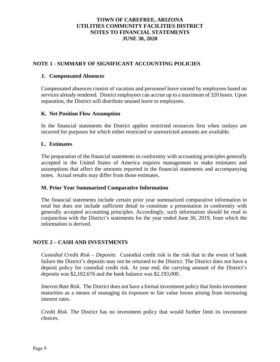# **NOTE 1 - SUMMARY OF SIGNIFICANT ACCOUNTING POLICIES**

# **J. Compensated Absences**

Compensated absences consist of vacation and personnel leave earned by employees based on services already rendered. District employees can accrue up to a maximum of 320 hours. Upon separation, the District will distribute unused leave to employees.

# **K. Net Position Flow Assumption**

In the financial statements the District applies restricted resources first when outlays are incurred for purposes for which either restricted or unrestricted amounts are available.

# **L. Estimates**

The preparation of the financial statements in conformity with accounting principles generally accepted in the United States of America requires management to make estimates and assumptions that affect the amounts reported in the financial statements and accompanying notes. Actual results may differ from those estimates.

# **M. Prior Year Summarized Comparative Information**

The financial statements include certain prior year summarized comparative information in total but does not include sufficient detail to constitute a presentation in conformity with generally accepted accounting principles. Accordingly, such information should be read in conjunction with the District's statements for the year ended June 30, 2019, from which the information is derived.

# **NOTE 2 – CASH AND INVESTMENTS**

*Custodial Credit Risk – Deposits.* Custodial credit risk is the risk that in the event of bank failure the District's deposits may not be returned to the District. The District does not have a deposit policy for custodial credit risk. At year end, the carrying amount of the District's deposits was \$2,102,676 and the bank balance was \$2,193,000.

*Interest Rate Risk*. The District does not have a formal investment policy that limits investment maturities as a means of managing its exposure to fair value losses arising from increasing interest rates.

*Credit Risk*. The District has no investment policy that would further limit its investment choices.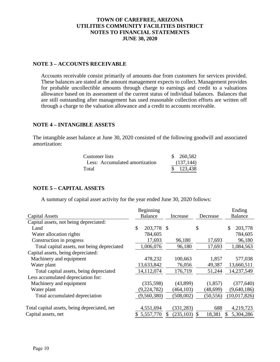# **NOTE 3 – ACCOUNTS RECEIVABLE**

Accounts receivable consist primarily of amounts due from customers for services provided. These balances are stated at the amount management expects to collect. Management provides for probable uncollectible amounts through charge to earnings and credit to a valuations allowance based on its assessment of the current status of individual balances. Balances that are still outstanding after management has used reasonable collection efforts are written off through a charge to the valuation allowance and a credit to accounts receivable.

# **NOTE 4 – INTANGIBLE ASSETS**

The intangible asset balance at June 30, 2020 consisted of the following goodwill and associated amortization:

| Customer lists |                                | \$260,582  |
|----------------|--------------------------------|------------|
|                | Less: Accumulated amortization | (137, 144) |
| Total          |                                | \$123,438  |

# **NOTE 5 – CAPITAL ASSETS**

A summary of capital asset activity for the year ended June 30, 2020 follows:

|                                              | Beginning        |            |              | Ending          |
|----------------------------------------------|------------------|------------|--------------|-----------------|
| <b>Capital Assets</b>                        | <b>Balance</b>   | Increase   | Decrease     | <b>Balance</b>  |
| Capital assets, not being depreciated:       |                  |            |              |                 |
| Land                                         | \$<br>203,778 \$ |            | \$           | \$<br>203,778   |
| Water allocation rights                      | 784,605          |            |              | 784,605         |
| Construction in progress                     | 17,693           | 96,180     | 17,693       | 96,180          |
| Total capital assets, not being depreciated  | 1,006,076        | 96,180     | 17,693       | 1,084,563       |
| Capital assets, being depreciated:           |                  |            |              |                 |
| Machinery and equipment                      | 478,232          | 100,663    | 1,857        | 577,038         |
| Water plant                                  | 13,633,842       | 76,056     | 49,387       | 13,660,511      |
| Total capital assets, being depreciated      | 14,112,074       | 176,719    | 51,244       | 14,237,549      |
| Less accumulated depreciation for:           |                  |            |              |                 |
| Machinery and equipment                      | (335,598)        | (43,899)   | (1,857)      | (377, 640)      |
| Water plant                                  | (9, 224, 782)    | (464, 103) | (48, 699)    | (9,640,186)     |
| Total accumulated depreciation               | (9,560,380)      | (508,002)  | (50, 556)    | (10,017,826)    |
|                                              |                  |            |              |                 |
| Total capital assets, being depreciated, net | 4,551,694        | (331, 283) | 688          | 4,219,723       |
| Capital assets, net                          | \$5,557,770      | (235, 103) | 18,381<br>\$ | 5,304,286<br>\$ |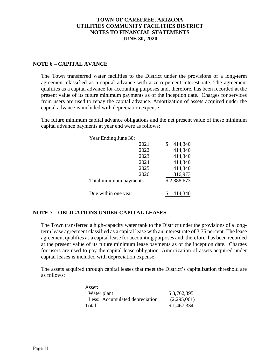# **NOTE 6 – CAPITAL AVANCE**

The Town transferred water facilities to the District under the provisions of a long-term agreement classified as a capital advance with a zero percent interest rate. The agreement qualifies as a capital advance for accounting purposes and, therefore, has been recorded at the present value of its future minimum payments as of the inception date. Charges for services from users are used to repay the capital advance. Amortization of assets acquired under the capital advance is included with depreciation expense.

The future minimum capital advance obligations and the net present value of these minimum capital advance payments at year end were as follows:

| Year Ending June 30:   |      |   |             |
|------------------------|------|---|-------------|
|                        | 2021 | S | 414,340     |
|                        | 2022 |   | 414,340     |
|                        | 2023 |   | 414,340     |
|                        | 2024 |   | 414,340     |
|                        | 2025 |   | 414,340     |
|                        | 2026 |   | 316,973     |
| Total minimum payments |      |   | \$2,388,673 |
| Due within one year    |      |   | 414,340     |

# **NOTE 7 – OBLIGATIONS UNDER CAPITAL LEASES**

The Town transferred a high-capacity water tank to the District under the provisions of a longterm lease agreement classified as a capital lease with an interest rate of 3.75 percent. The lease agreement qualifies as a capital lease for accounting purposes and, therefore, has been recorded at the present value of its future minimum lease payments as of the inception date. Charges for users are used to pay the capital lease obligation. Amortization of assets acquired under capital leases is included with depreciation expense.

The assets acquired through capital leases that meet the District's capitalization threshold are as follows:

| Asset:                         |             |
|--------------------------------|-------------|
| Water plant                    | \$3,762,395 |
| Less: Accumulated depreciation | (2,295,061) |
| Total                          | \$1,467,334 |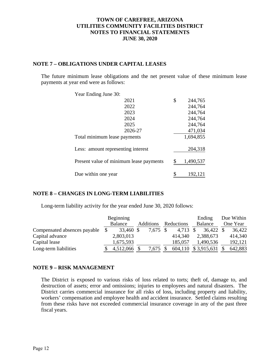# **NOTE 7 – OBLIGATIONS UNDER CAPITAL LEASES**

The future minimum lease obligations and the net present value of these minimum lease payments at year end were as follows:

| Year Ending June 30:                    |    |           |
|-----------------------------------------|----|-----------|
| 2021                                    | \$ | 244,765   |
| 2022                                    |    | 244,764   |
| 2023                                    |    | 244,764   |
| 2024                                    |    | 244,764   |
| 2025                                    |    | 244,764   |
| 2026-27                                 |    | 471,034   |
| Total minimum lease payments            |    | 1,694,855 |
| Less: amount representing interest      |    | 204,318   |
| Present value of minimum lease payments |    | 1,490,537 |
| Due within one year                     |    | 192,121   |

# **NOTE 8 – CHANGES IN LONG-TERM LIABILITIES**

Long-term liability activity for the year ended June 30, 2020 follows:

|                              |                | Beginning |  |       |                  |          |            | Ending      |         | Due Within |          |  |
|------------------------------|----------------|-----------|--|-------|------------------|----------|------------|-------------|---------|------------|----------|--|
|                              | <b>Balance</b> |           |  |       | <b>Additions</b> |          | Reductions |             | Balance |            | One Year |  |
| Compensated absences payable |                | 33,460 \$ |  | 7,675 | -S               | 4.713 \$ |            | 36,422      |         | 36,422     |          |  |
| Capital advance              |                | 2,803,013 |  |       |                  | 414.340  |            | 2,388,673   |         | 414,340    |          |  |
| Capital lease                |                | 1,675,593 |  |       |                  | 185,057  |            | 1,490,536   |         | 192,121    |          |  |
| Long-term liabilities        |                | 4,512,066 |  | 7,675 |                  | 604,110  |            | \$3,915,631 |         | 642,883    |          |  |

# **NOTE 9 – RISK MANAGEMENT**

The District is exposed to various risks of loss related to torts; theft of, damage to, and destruction of assets; error and omissions; injuries to employees and natural disasters. The District carries commercial insurance for all risks of loss, including property and liability, workers' compensation and employee health and accident insurance. Settled claims resulting from these risks have not exceeded commercial insurance coverage in any of the past three fiscal years.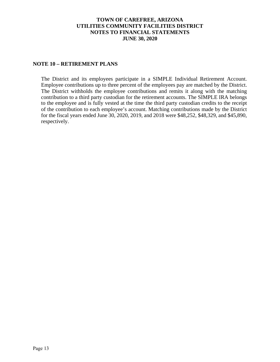# **NOTE 10 – RETIREMENT PLANS**

The District and its employees participate in a SIMPLE Individual Retirement Account. Employee contributions up to three percent of the employees pay are matched by the District. The District withholds the employee contributions and remits it along with the matching contribution to a third party custodian for the retirement accounts. The SIMPLE IRA belongs to the employee and is fully vested at the time the third party custodian credits to the receipt of the contribution to each employee's account. Matching contributions made by the District for the fiscal years ended June 30, 2020, 2019, and 2018 were \$48,252, \$48,329, and \$45,890, respectively.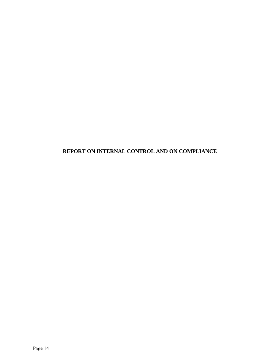**REPORT ON INTERNAL CONTROL AND ON COMPLIANCE**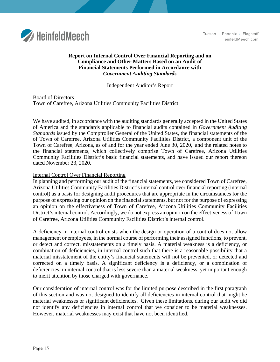

Tucson • Phoenix • Flagstaff HeinfeldMeech.com

#### **Report on Internal Control Over Financial Reporting and on Compliance and Other Matters Based on an Audit of Financial Statements Performed in Accordance with**  *Government Auditing Standards*

Independent Auditor's Report

Board of Directors Town of Carefree, Arizona Utilities Community Facilities District

We have audited, in accordance with the auditing standards generally accepted in the United States of America and the standards applicable to financial audits contained in *Government Auditing Standards* issued by the Comptroller General of the United States, the financial statements of the of Town of Carefree, Arizona Utilities Community Facilities District, a component unit of the Town of Carefree, Arizona, as of and for the year ended June 30, 2020, and the related notes to the financial statements, which collectively comprise Town of Carefree, Arizona Utilities Community Facilities District's basic financial statements, and have issued our report thereon dated November 23, 2020.

#### Internal Control Over Financial Reporting

In planning and performing our audit of the financial statements, we considered Town of Carefree, Arizona Utilities Community Facilities District's internal control over financial reporting (internal control) as a basis for designing audit procedures that are appropriate in the circumstances for the purpose of expressing our opinion on the financial statements, but not for the purpose of expressing an opinion on the effectiveness of Town of Carefree, Arizona Utilities Community Facilities District's internal control. Accordingly, we do not express an opinion on the effectiveness of Town of Carefree, Arizona Utilities Community Facilities District's internal control.

A deficiency in internal control exists when the design or operation of a control does not allow management or employees, in the normal course of performing their assigned functions, to prevent, or detect and correct, misstatements on a timely basis. A material weakness is a deficiency, or combination of deficiencies, in internal control such that there is a reasonable possibility that a material misstatement of the entity's financial statements will not be prevented, or detected and corrected on a timely basis. A significant deficiency is a deficiency, or a combination of deficiencies, in internal control that is less severe than a material weakness, yet important enough to merit attention by those charged with governance.

Our consideration of internal control was for the limited purpose described in the first paragraph of this section and was not designed to identify all deficiencies in internal control that might be material weaknesses or significant deficiencies. Given these limitations, during our audit we did not identify any deficiencies in internal control that we consider to be material weaknesses. However, material weaknesses may exist that have not been identified.